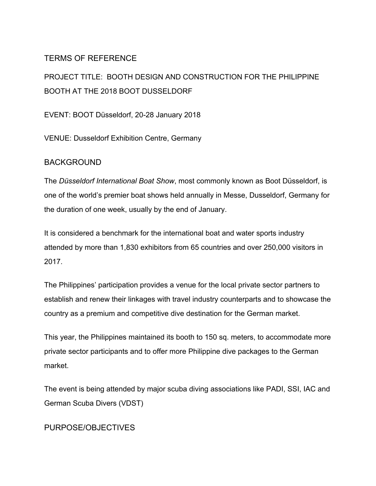# TERMS OF REFERENCE

PROJECT TITLE: BOOTH DESIGN AND CONSTRUCTION FOR THE PHILIPPINE BOOTH AT THE 2018 BOOT DUSSELDORF

EVENT: BOOT Düsseldorf, 20-28 January 2018

VENUE: Dusseldorf Exhibition Centre, Germany

### BACKGROUND

The *Düsseldorf International Boat Show*, most commonly known as Boot Düsseldorf, is one of the world's premier boat shows held annually in Messe, Dusseldorf, Germany for the duration of one week, usually by the end of January.

It is considered a benchmark for the international boat and water sports industry attended by more than 1,830 exhibitors from 65 countries and over 250,000 visitors in 2017.

The Philippines' participation provides a venue for the local private sector partners to establish and renew their linkages with travel industry counterparts and to showcase the country as a premium and competitive dive destination for the German market.

This year, the Philippines maintained its booth to 150 sq. meters, to accommodate more private sector participants and to offer more Philippine dive packages to the German market.

The event is being attended by major scuba diving associations like PADI, SSI, IAC and German Scuba Divers (VDST)

PURPOSE/OBJECTIVES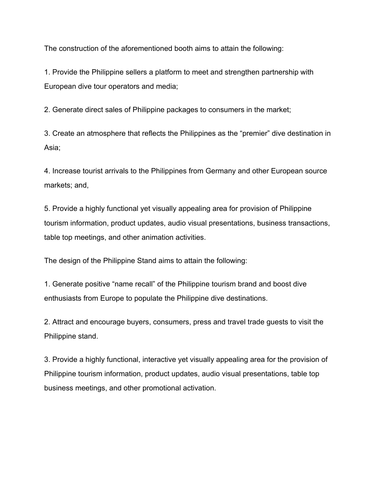The construction of the aforementioned booth aims to attain the following:

1. Provide the Philippine sellers a platform to meet and strengthen partnership with European dive tour operators and media;

2. Generate direct sales of Philippine packages to consumers in the market;

3. Create an atmosphere that reflects the Philippines as the "premier" dive destination in Asia;

4. Increase tourist arrivals to the Philippines from Germany and other European source markets; and,

5. Provide a highly functional yet visually appealing area for provision of Philippine tourism information, product updates, audio visual presentations, business transactions, table top meetings, and other animation activities.

The design of the Philippine Stand aims to attain the following:

1. Generate positive "name recall" of the Philippine tourism brand and boost dive enthusiasts from Europe to populate the Philippine dive destinations.

2. Attract and encourage buyers, consumers, press and travel trade guests to visit the Philippine stand.

3. Provide a highly functional, interactive yet visually appealing area for the provision of Philippine tourism information, product updates, audio visual presentations, table top business meetings, and other promotional activation.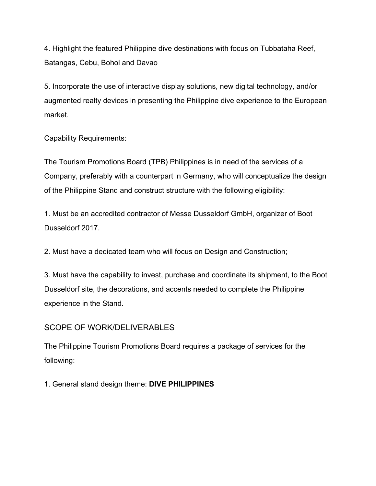4. Highlight the featured Philippine dive destinations with focus on Tubbataha Reef, Batangas, Cebu, Bohol and Davao

5. Incorporate the use of interactive display solutions, new digital technology, and/or augmented realty devices in presenting the Philippine dive experience to the European market.

Capability Requirements:

The Tourism Promotions Board (TPB) Philippines is in need of the services of a Company, preferably with a counterpart in Germany, who will conceptualize the design of the Philippine Stand and construct structure with the following eligibility:

1. Must be an accredited contractor of Messe Dusseldorf GmbH, organizer of Boot Dusseldorf 2017.

2. Must have a dedicated team who will focus on Design and Construction;

3. Must have the capability to invest, purchase and coordinate its shipment, to the Boot Dusseldorf site, the decorations, and accents needed to complete the Philippine experience in the Stand.

## SCOPE OF WORK/DELIVERABLES

The Philippine Tourism Promotions Board requires a package of services for the following:

1. General stand design theme: **DIVE PHILIPPINES**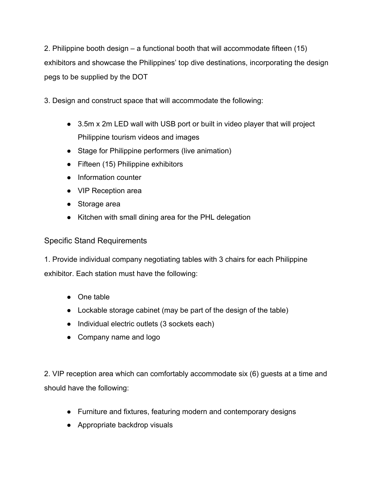2. Philippine booth design – a functional booth that will accommodate fifteen (15) exhibitors and showcase the Philippines' top dive destinations, incorporating the design pegs to be supplied by the DOT

3. Design and construct space that will accommodate the following:

- 3.5m x 2m LED wall with USB port or built in video player that will project Philippine tourism videos and images
- Stage for Philippine performers (live animation)
- Fifteen (15) Philippine exhibitors
- Information counter
- VIP Reception area
- Storage area
- Kitchen with small dining area for the PHL delegation

### Specific Stand Requirements

1. Provide individual company negotiating tables with 3 chairs for each Philippine exhibitor. Each station must have the following:

- One table
- Lockable storage cabinet (may be part of the design of the table)
- Individual electric outlets (3 sockets each)
- Company name and logo

2. VIP reception area which can comfortably accommodate six (6) guests at a time and should have the following:

- Furniture and fixtures, featuring modern and contemporary designs
- Appropriate backdrop visuals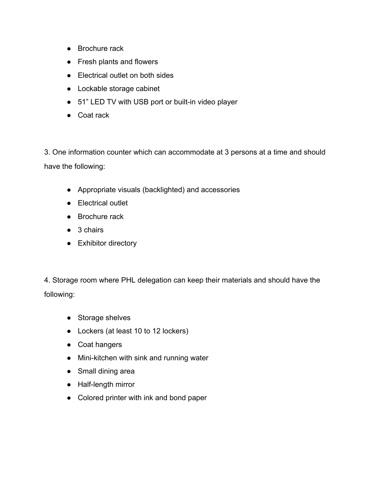- Brochure rack
- Fresh plants and flowers
- Electrical outlet on both sides
- Lockable storage cabinet
- 51" LED TV with USB port or built-in video player
- Coat rack

3. One information counter which can accommodate at 3 persons at a time and should have the following:

- Appropriate visuals (backlighted) and accessories
- Electrical outlet
- Brochure rack
- 3 chairs
- Exhibitor directory

4. Storage room where PHL delegation can keep their materials and should have the following:

- Storage shelves
- Lockers (at least 10 to 12 lockers)
- Coat hangers
- Mini-kitchen with sink and running water
- Small dining area
- Half-length mirror
- Colored printer with ink and bond paper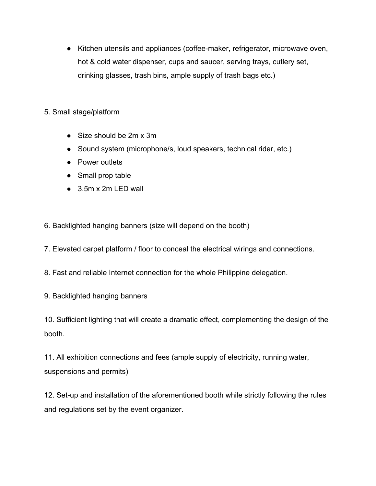- Kitchen utensils and appliances (coffee-maker, refrigerator, microwave oven, hot & cold water dispenser, cups and saucer, serving trays, cutlery set, drinking glasses, trash bins, ample supply of trash bags etc.)
- 5. Small stage/platform
	- Size should be 2m x 3m
	- Sound system (microphone/s, loud speakers, technical rider, etc.)
	- Power outlets
	- Small prop table
	- 3.5m x 2m LED wall
- 6. Backlighted hanging banners (size will depend on the booth)
- 7. Elevated carpet platform / floor to conceal the electrical wirings and connections.
- 8. Fast and reliable Internet connection for the whole Philippine delegation.
- 9. Backlighted hanging banners
- 10. Sufficient lighting that will create a dramatic effect, complementing the design of the booth.

11. All exhibition connections and fees (ample supply of electricity, running water, suspensions and permits)

12. Set-up and installation of the aforementioned booth while strictly following the rules and regulations set by the event organizer.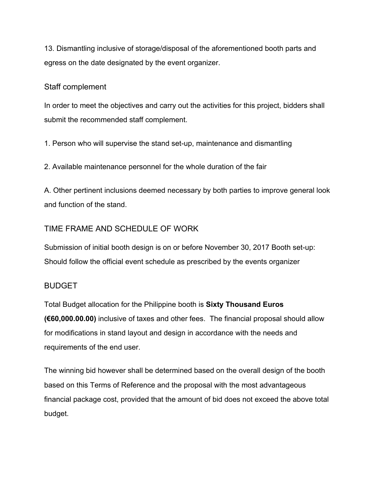13. Dismantling inclusive of storage/disposal of the aforementioned booth parts and egress on the date designated by the event organizer.

#### Staff complement

In order to meet the objectives and carry out the activities for this project, bidders shall submit the recommended staff complement.

1. Person who will supervise the stand set-up, maintenance and dismantling

2. Available maintenance personnel for the whole duration of the fair

A. Other pertinent inclusions deemed necessary by both parties to improve general look and function of the stand.

# TIME FRAME AND SCHEDULE OF WORK

Submission of initial booth design is on or before November 30, 2017 Booth set-up: Should follow the official event schedule as prescribed by the events organizer

## BUDGET

Total Budget allocation for the Philippine booth is **Sixty Thousand Euros (€60,000.00.00)** inclusive of taxes and other fees. The financial proposal should allow for modifications in stand layout and design in accordance with the needs and requirements of the end user.

The winning bid however shall be determined based on the overall design of the booth based on this Terms of Reference and the proposal with the most advantageous financial package cost, provided that the amount of bid does not exceed the above total budget.